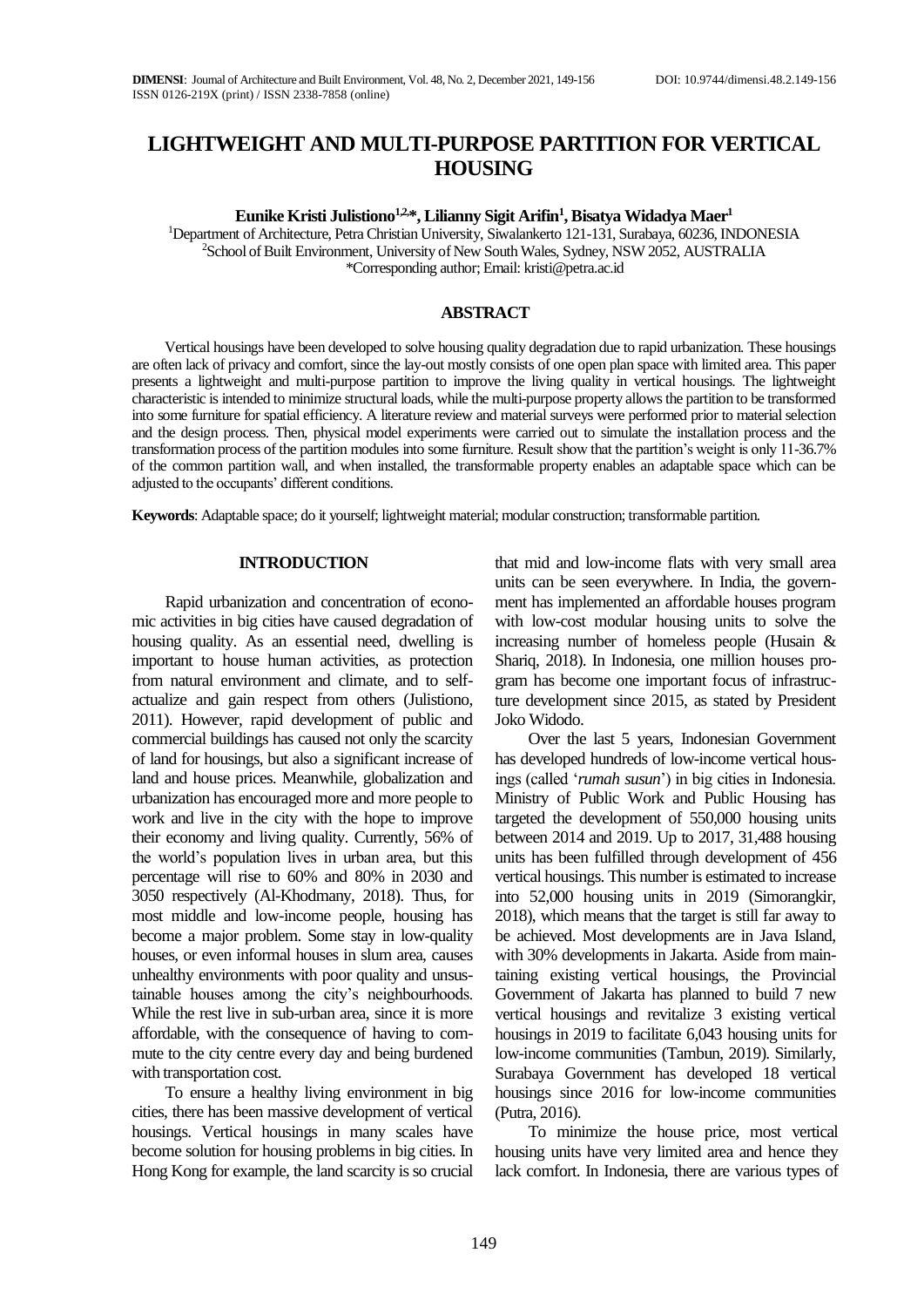# **LIGHTWEIGHT AND MULTI-PURPOSE PARTITION FOR VERTICAL HOUSING**

**Eunike Kristi Julistiono1,2,\*, Lilianny Sigit Arifin<sup>1</sup> , Bisatya Widadya Maer<sup>1</sup>** <sup>1</sup>Department of Architecture, Petra Christian University, Siwalankerto 121-131, Surabaya, 60236, INDONESIA <sup>2</sup>School of Built Environment, University of New South Wales, Sydney, NSW 2052, AUSTRALIA \*Corresponding author; Email: kristi@petra.ac.id

## **ABSTRACT**

Vertical housings have been developed to solve housing quality degradation due to rapid urbanization. These housings are often lack of privacy and comfort, since the lay-out mostly consists of one open plan space with limited area. This paper presents a lightweight and multi-purpose partition to improve the living quality in vertical housings. The lightweight characteristic is intended to minimize structural loads, while the multi-purpose property allows the partition to be transformed into some furniture for spatial efficiency. A literature review and material surveys were performed prior to material selection and the design process. Then, physical model experiments were carried out to simulate the installation process and the transformation process of the partition modules into some furniture. Result show that the partition's weight is only 11-36.7% of the common partition wall, and when installed, the transformable property enables an adaptable space which can be adjusted to the occupants' different conditions.

**Keywords**: Adaptable space; do it yourself; lightweight material; modular construction; transformable partition.

#### **INTRODUCTION**

Rapid urbanization and concentration of economic activities in big cities have caused degradation of housing quality. As an essential need, dwelling is important to house human activities, as protection from natural environment and climate, and to selfactualize and gain respect from others (Julistiono, 2011). However, rapid development of public and commercial buildings has caused not only the scarcity of land for housings, but also a significant increase of land and house prices. Meanwhile, globalization and urbanization has encouraged more and more people to work and live in the city with the hope to improve their economy and living quality. Currently, 56% of the world's population lives in urban area, but this percentage will rise to 60% and 80% in 2030 and 3050 respectively (Al-Khodmany, 2018). Thus, for most middle and low-income people, housing has become a major problem. Some stay in low-quality houses, or even informal houses in slum area, causes unhealthy environments with poor quality and unsustainable houses among the city's neighbourhoods. While the rest live in sub-urban area, since it is more affordable, with the consequence of having to commute to the city centre every day and being burdened with transportation cost.

To ensure a healthy living environment in big cities, there has been massive development of vertical housings. Vertical housings in many scales have become solution for housing problems in big cities. In Hong Kong for example, the land scarcity is so crucial that mid and low-income flats with very small area units can be seen everywhere. In India, the government has implemented an affordable houses program with low-cost modular housing units to solve the increasing number of homeless people (Husain & Shariq, 2018). In Indonesia, one million houses program has become one important focus of infrastructure development since 2015, as stated by President Joko Widodo.

Over the last 5 years, Indonesian Government has developed hundreds of low-income vertical housings (called '*rumah susun*') in big cities in Indonesia. Ministry of Public Work and Public Housing has targeted the development of 550,000 housing units between 2014 and 2019. Up to 2017, 31,488 housing units has been fulfilled through development of 456 vertical housings. This number is estimated to increase into 52,000 housing units in 2019 (Simorangkir, 2018), which means that the target is still far away to be achieved. Most developments are in Java Island, with 30% developments in Jakarta. Aside from maintaining existing vertical housings, the Provincial Government of Jakarta has planned to build 7 new vertical housings and revitalize 3 existing vertical housings in 2019 to facilitate 6,043 housing units for low-income communities (Tambun, 2019). Similarly, Surabaya Government has developed 18 vertical housings since 2016 for low-income communities (Putra, 2016).

To minimize the house price, most vertical housing units have very limited area and hence they lack comfort. In Indonesia, there are various types of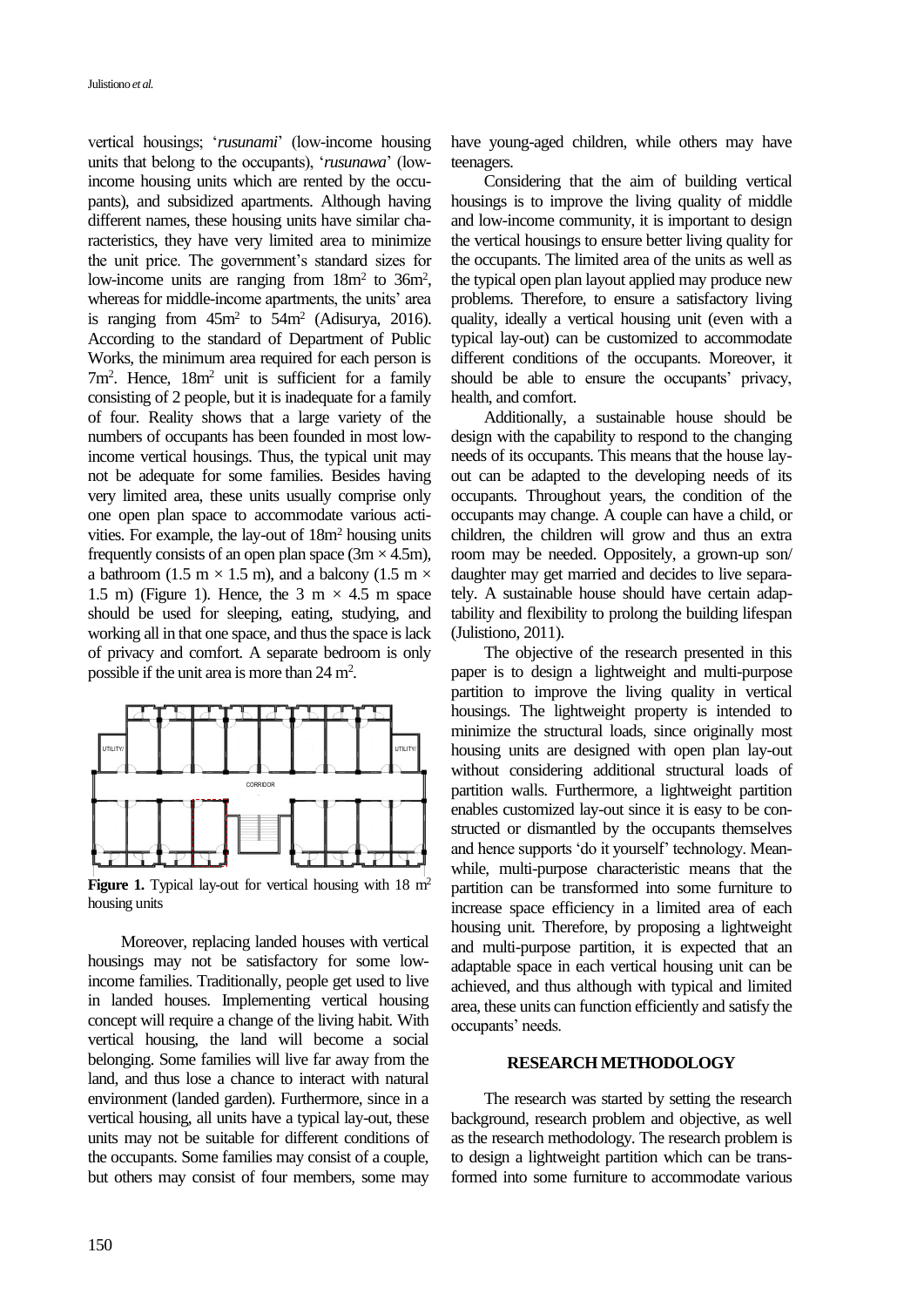vertical housings; '*rusunami*' (low-income housing units that belong to the occupants), '*rusunawa*' (lowincome housing units which are rented by the occupants), and subsidized apartments. Although having different names, these housing units have similar characteristics, they have very limited area to minimize the unit price. The government's standard sizes for low-income units are ranging from  $18m^2$  to  $36m^2$ , whereas for middle-income apartments, the units' area is ranging from  $45m^2$  to  $54m^2$  (Adisurya, 2016). According to the standard of Department of Public Works, the minimum area required for each person is 7m<sup>2</sup> . Hence, 18m<sup>2</sup> unit is sufficient for a family consisting of 2 people, but it is inadequate for a family of four. Reality shows that a large variety of the numbers of occupants has been founded in most lowincome vertical housings. Thus, the typical unit may not be adequate for some families. Besides having very limited area, these units usually comprise only one open plan space to accommodate various activities. For example, the lay-out of 18m<sup>2</sup> housing units frequently consists of an open plan space  $(3m \times 4.5m)$ , a bathroom (1.5 m  $\times$  1.5 m), and a balcony (1.5 m  $\times$ 1.5 m) (Figure 1). Hence, the 3 m  $\times$  4.5 m space should be used for sleeping, eating, studying, and working all in that one space, and thus the space is lack of privacy and comfort. A separate bedroom is only possible if the unit area is more than 24 m<sup>2</sup>.



Figure 1. Typical lay-out for vertical housing with 18 m<sup>2</sup> housing units

Moreover, replacing landed houses with vertical housings may not be satisfactory for some lowincome families. Traditionally, people get used to live in landed houses. Implementing vertical housing concept will require a change of the living habit. With vertical housing, the land will become a social belonging. Some families will live far away from the land, and thus lose a chance to interact with natural environment (landed garden). Furthermore, since in a vertical housing, all units have a typical lay-out, these units may not be suitable for different conditions of the occupants. Some families may consist of a couple, but others may consist of four members, some may

have young-aged children, while others may have teenagers.

Considering that the aim of building vertical housings is to improve the living quality of middle and low-income community, it is important to design the vertical housings to ensure better living quality for the occupants. The limited area of the units as well as the typical open plan layout applied may produce new problems. Therefore, to ensure a satisfactory living quality, ideally a vertical housing unit (even with a typical lay-out) can be customized to accommodate different conditions of the occupants. Moreover, it should be able to ensure the occupants' privacy, health, and comfort.

Additionally, a sustainable house should be design with the capability to respond to the changing needs of its occupants. This means that the house layout can be adapted to the developing needs of its occupants. Throughout years, the condition of the occupants may change. A couple can have a child, or children, the children will grow and thus an extra room may be needed. Oppositely, a grown-up son/ daughter may get married and decides to live separately. A sustainable house should have certain adaptability and flexibility to prolong the building lifespan (Julistiono, 2011).

The objective of the research presented in this paper is to design a lightweight and multi-purpose partition to improve the living quality in vertical housings. The lightweight property is intended to minimize the structural loads, since originally most housing units are designed with open plan lay-out without considering additional structural loads of partition walls. Furthermore, a lightweight partition enables customized lay-out since it is easy to be constructed or dismantled by the occupants themselves and hence supports 'do it yourself' technology. Meanwhile, multi-purpose characteristic means that the partition can be transformed into some furniture to increase space efficiency in a limited area of each housing unit. Therefore, by proposing a lightweight and multi-purpose partition, it is expected that an adaptable space in each vertical housing unit can be achieved, and thus although with typical and limited area, these units can function efficiently and satisfy the occupants' needs.

# **RESEARCH METHODOLOGY**

The research was started by setting the research background, research problem and objective, as well as the research methodology. The research problem is to design a lightweight partition which can be transformed into some furniture to accommodate various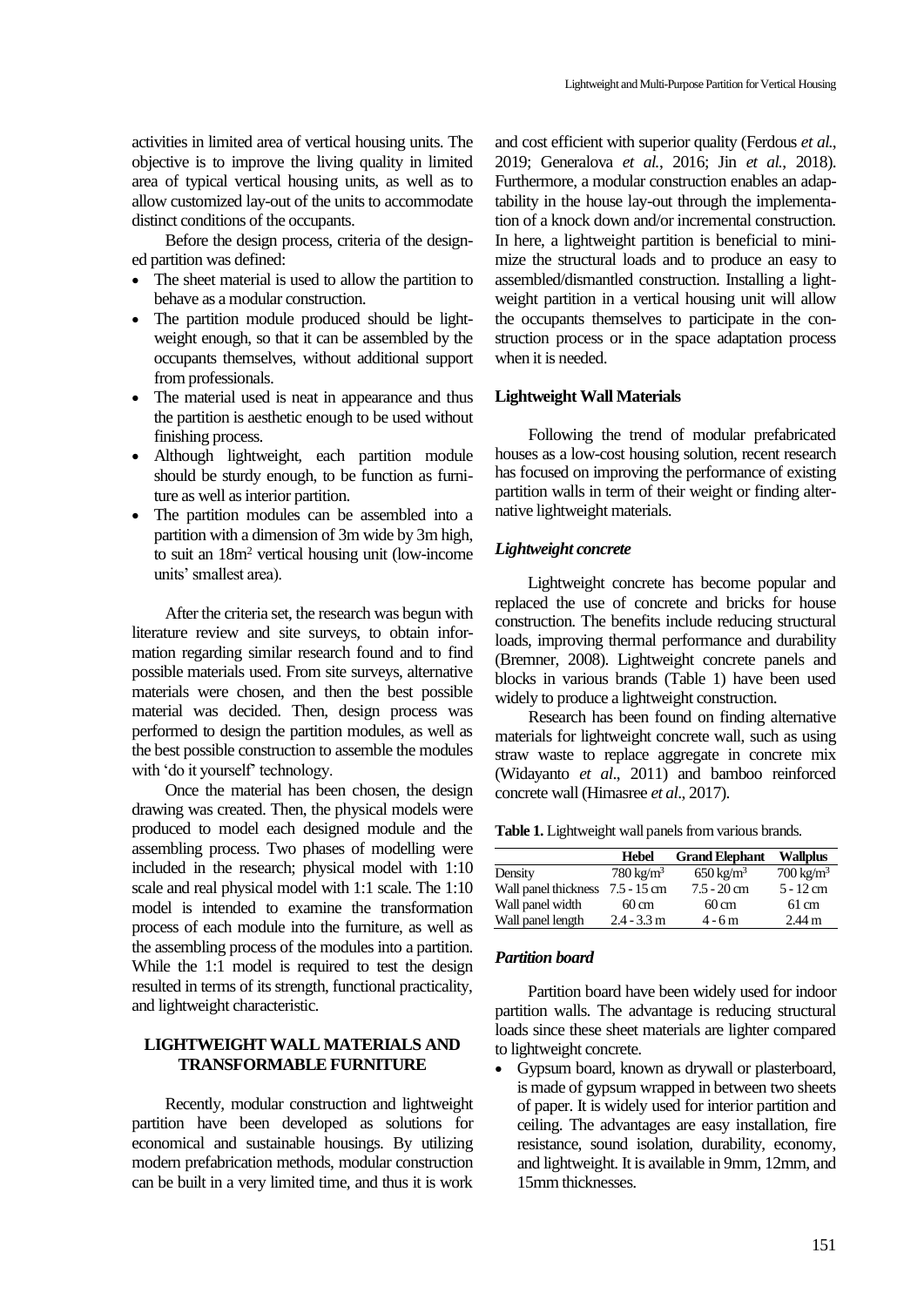activities in limited area of vertical housing units. The objective is to improve the living quality in limited area of typical vertical housing units, as well as to allow customized lay-out of the units to accommodate distinct conditions of the occupants.

Before the design process, criteria of the designed partition was defined:

- The sheet material is used to allow the partition to behave as a modular construction.
- The partition module produced should be lightweight enough, so that it can be assembled by the occupants themselves, without additional support from professionals.
- The material used is neat in appearance and thus the partition is aesthetic enough to be used without finishing process.
- Although lightweight, each partition module should be sturdy enough, to be function as furniture as well as interior partition.
- The partition modules can be assembled into a partition with a dimension of 3m wide by 3m high, to suit an 18m<sup>2</sup> vertical housing unit (low-income units' smallest area).

After the criteria set, the research was begun with literature review and site surveys, to obtain information regarding similar research found and to find possible materials used. From site surveys, alternative materials were chosen, and then the best possible material was decided. Then, design process was performed to design the partition modules, as well as the best possible construction to assemble the modules with 'do it yourself' technology.

Once the material has been chosen, the design drawing was created. Then, the physical models were produced to model each designed module and the assembling process. Two phases of modelling were included in the research; physical model with 1:10 scale and real physical model with 1:1 scale. The 1:10 model is intended to examine the transformation process of each module into the furniture, as well as the assembling process of the modules into a partition. While the 1:1 model is required to test the design resulted in terms of its strength, functional practicality, and lightweight characteristic.

# **LIGHTWEIGHT WALL MATERIALS AND TRANSFORMABLE FURNITURE**

Recently, modular construction and lightweight partition have been developed as solutions for economical and sustainable housings. By utilizing modern prefabrication methods, modular construction can be built in a very limited time, and thus it is work

and cost efficient with superior quality (Ferdous *et al.*, 2019; Generalova *et al.*, 2016; Jin *et al.*, 2018). Furthermore, a modular construction enables an adaptability in the house lay-out through the implementation of a knock down and/or incremental construction. In here, a lightweight partition is beneficial to minimize the structural loads and to produce an easy to assembled/dismantled construction. Installing a lightweight partition in a vertical housing unit will allow the occupants themselves to participate in the construction process or in the space adaptation process when it is needed.

# **Lightweight Wall Materials**

Following the trend of modular prefabricated houses as a low-cost housing solution, recent research has focused on improving the performance of existing partition walls in term of their weight or finding alternative lightweight materials.

## *Lightweight concrete*

Lightweight concrete has become popular and replaced the use of concrete and bricks for house construction. The benefits include reducing structural loads, improving thermal performance and durability (Bremner, 2008). Lightweight concrete panels and blocks in various brands (Table 1) have been used widely to produce a lightweight construction.

Research has been found on finding alternative materials for lightweight concrete wall, such as using straw waste to replace aggregate in concrete mix (Widayanto *et al*., 2011) and bamboo reinforced concrete wall (Himasree *et al*., 2017).

**Table 1.** Lightweight wall panels from various brands.

|                      | <b>Hebel</b>         | <b>Grand Elephant</b>   | <b>Wallplus</b>      |
|----------------------|----------------------|-------------------------|----------------------|
| Density              | $780 \text{ kg/m}^3$ | $650 \,\mathrm{kg/m^3}$ | $700 \text{ kg/m}^3$ |
| Wall panel thickness | $7.5 - 15$ cm        | $7.5 - 20$ cm           | $5 - 12$ cm          |
| Wall panel width     | $60 \,\mathrm{cm}$   | $60 \text{ cm}$         | $61 \text{ cm}$      |
| Wall panel length    | $2.4 - 3.3$ m        | $4 - 6m$                | $2.44 \text{ m}$     |

#### *Partition board*

Partition board have been widely used for indoor partition walls. The advantage is reducing structural loads since these sheet materials are lighter compared to lightweight concrete.

• Gypsum board, known as drywall or plasterboard, is made of gypsum wrapped in between two sheets of paper. It is widely used for interior partition and ceiling. The advantages are easy installation, fire resistance, sound isolation, durability, economy, and lightweight. It is available in 9mm, 12mm, and 15mm thicknesses.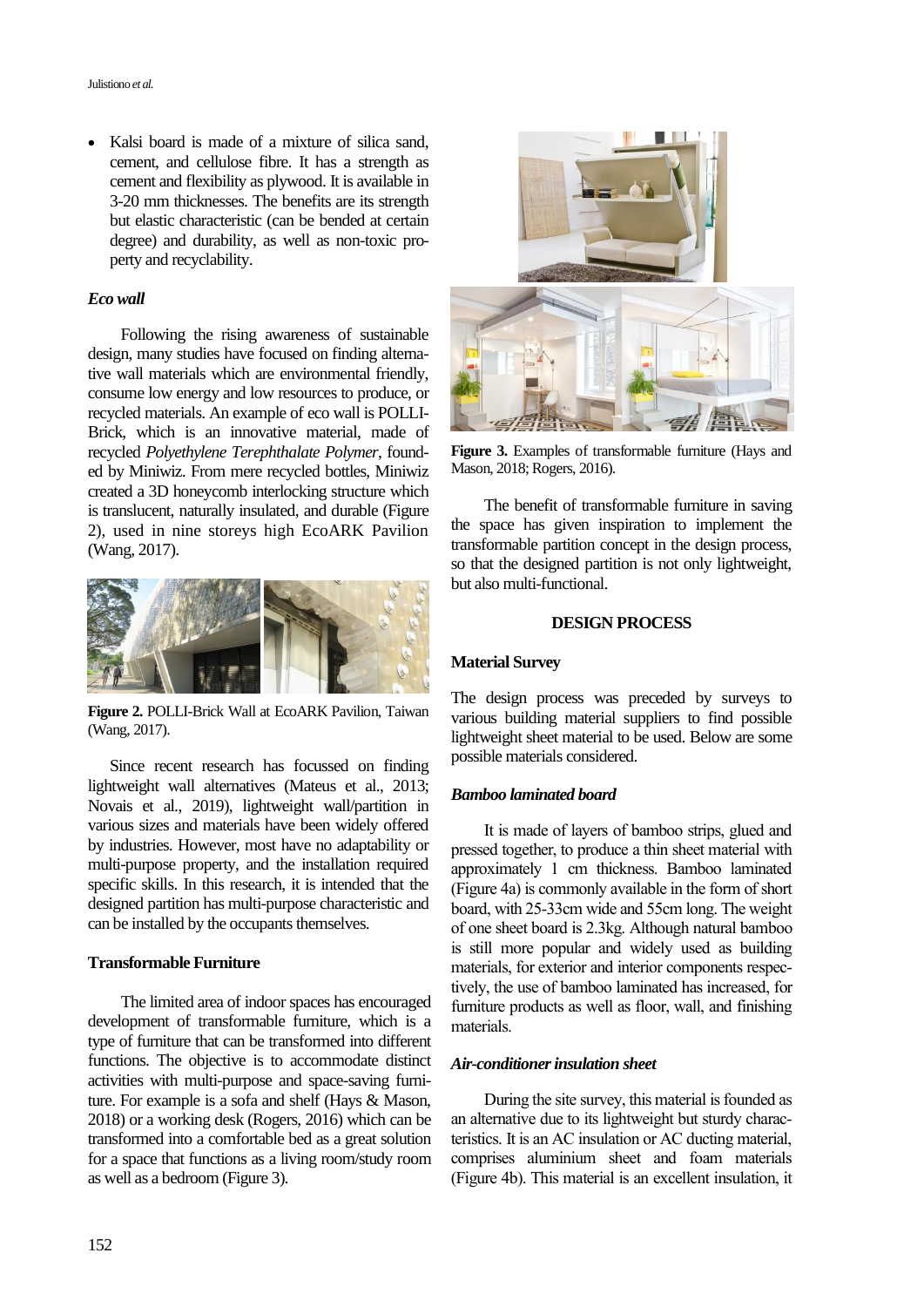• Kalsi board is made of a mixture of silica sand, cement, and cellulose fibre. It has a strength as cement and flexibility as plywood. It is available in 3-20 mm thicknesses. The benefits are its strength but elastic characteristic (can be bended at certain degree) and durability, as well as non-toxic property and recyclability.

## *Eco wall*

Following the rising awareness of sustainable design, many studies have focused on finding alternative wall materials which are environmental friendly, consume low energy and low resources to produce, or recycled materials. An example of eco wall is POLLI-Brick, which is an innovative material, made of recycled *Polyethylene Terephthalate Polymer*, founded by Miniwiz. From mere recycled bottles, Miniwiz created a 3D honeycomb interlocking structure which is translucent, naturally insulated, and durable (Figure 2), used in nine storeys high EcoARK Pavilion (Wang, 2017).



**Figure 2.** POLLI-Brick Wall at EcoARK Pavilion, Taiwan (Wang, 2017).

Since recent research has focussed on finding lightweight wall alternatives (Mateus et al., 2013; Novais et al., 2019), lightweight wall/partition in various sizes and materials have been widely offered by industries. However, most have no adaptability or multi-purpose property, and the installation required specific skills. In this research, it is intended that the designed partition has multi-purpose characteristic and can be installed by the occupants themselves.

## **Transformable Furniture**

The limited area of indoor spaces has encouraged development of transformable furniture, which is a type of furniture that can be transformed into different functions. The objective is to accommodate distinct activities with multi-purpose and space-saving furniture. For example is a sofa and shelf (Hays & Mason, 2018) or a working desk (Rogers, 2016) which can be transformed into a comfortable bed as a great solution for a space that functions as a living room/study room as well as a bedroom (Figure 3).



**Figure 3.** Examples of transformable furniture (Hays and Mason, 2018; Rogers, 2016).

The benefit of transformable furniture in saving the space has given inspiration to implement the transformable partition concept in the design process, so that the designed partition is not only lightweight, but also multi-functional.

#### **DESIGN PROCESS**

## **Material Survey**

The design process was preceded by surveys to various building material suppliers to find possible lightweight sheet material to be used. Below are some possible materials considered.

## *Bamboo laminated board*

It is made of layers of bamboo strips, glued and pressed together, to produce a thin sheet material with approximately 1 cm thickness. Bamboo laminated (Figure 4a) is commonly available in the form of short board, with 25-33cm wide and 55cm long. The weight of one sheet board is 2.3kg. Although natural bamboo is still more popular and widely used as building materials, for exterior and interior components respectively, the use of bamboo laminated has increased, for furniture products as well as floor, wall, and finishing materials.

# *Air-conditioner insulation sheet*

During the site survey, this material is founded as an alternative due to its lightweight but sturdy characteristics. It is an AC insulation or AC ducting material, comprises aluminium sheet and foam materials (Figure 4b). This material is an excellent insulation, it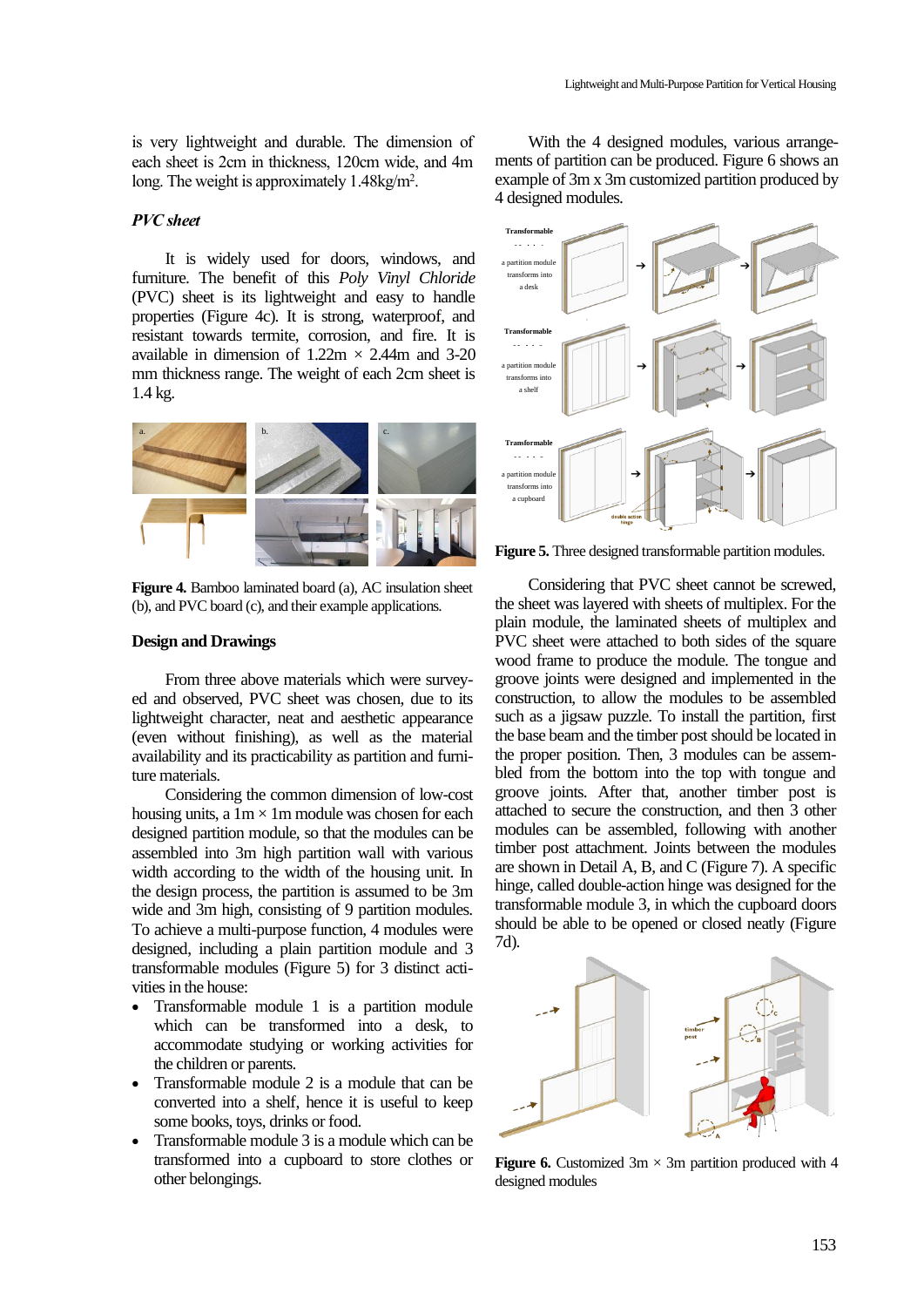is very lightweight and durable. The dimension of each sheet is 2cm in thickness, 120cm wide, and 4m long. The weight is approximately 1.48kg/m<sup>2</sup>.

## *PVC sheet*

It is widely used for doors, windows, and furniture. The benefit of this *Poly Vinyl Chloride* (PVC) sheet is its lightweight and easy to handle properties (Figure 4c). It is strong, waterproof, and resistant towards termite, corrosion, and fire. It is available in dimension of  $1.22m \times 2.44m$  and 3-20 mm thickness range. The weight of each 2cm sheet is 1.4 kg.



**Figure 4.** Bamboo laminated board (a), AC insulation sheet (b), and PVC board (c), and their example applications.

### **Design and Drawings**

From three above materials which were surveyed and observed, PVC sheet was chosen, due to its lightweight character, neat and aesthetic appearance (even without finishing), as well as the material availability and its practicability as partition and furniture materials.

Considering the common dimension of low-cost housing units, a  $1m \times 1m$  module was chosen for each designed partition module, so that the modules can be assembled into 3m high partition wall with various width according to the width of the housing unit. In the design process, the partition is assumed to be 3m wide and 3m high, consisting of 9 partition modules. To achieve a multi-purpose function, 4 modules were designed, including a plain partition module and 3 transformable modules (Figure 5) for 3 distinct activities in the house:

- Transformable module 1 is a partition module which can be transformed into a desk, to accommodate studying or working activities for the children or parents.
- Transformable module 2 is a module that can be converted into a shelf, hence it is useful to keep some books, toys, drinks or food.
- Transformable module 3 is a module which can be transformed into a cupboard to store clothes or other belongings.

With the 4 designed modules, various arrangements of partition can be produced. Figure 6 shows an example of 3m x 3m customized partition produced by 4 designed modules.



**Figure 5.** Three designed transformable partition modules.

Considering that PVC sheet cannot be screwed, the sheet was layered with sheets of multiplex. For the plain module, the laminated sheets of multiplex and PVC sheet were attached to both sides of the square wood frame to produce the module. The tongue and groove joints were designed and implemented in the construction, to allow the modules to be assembled such as a jigsaw puzzle. To install the partition, first the base beam and the timber post should be located in the proper position. Then, 3 modules can be assembled from the bottom into the top with tongue and groove joints. After that, another timber post is attached to secure the construction, and then 3 other modules can be assembled, following with another timber post attachment. Joints between the modules are shown in Detail A, B, and C (Figure 7). A specific hinge, called double-action hinge was designed for the transformable module 3, in which the cupboard doors should be able to be opened or closed neatly (Figure 7d).



**Figure 6.** Customized  $3m \times 3m$  partition produced with 4 designed modules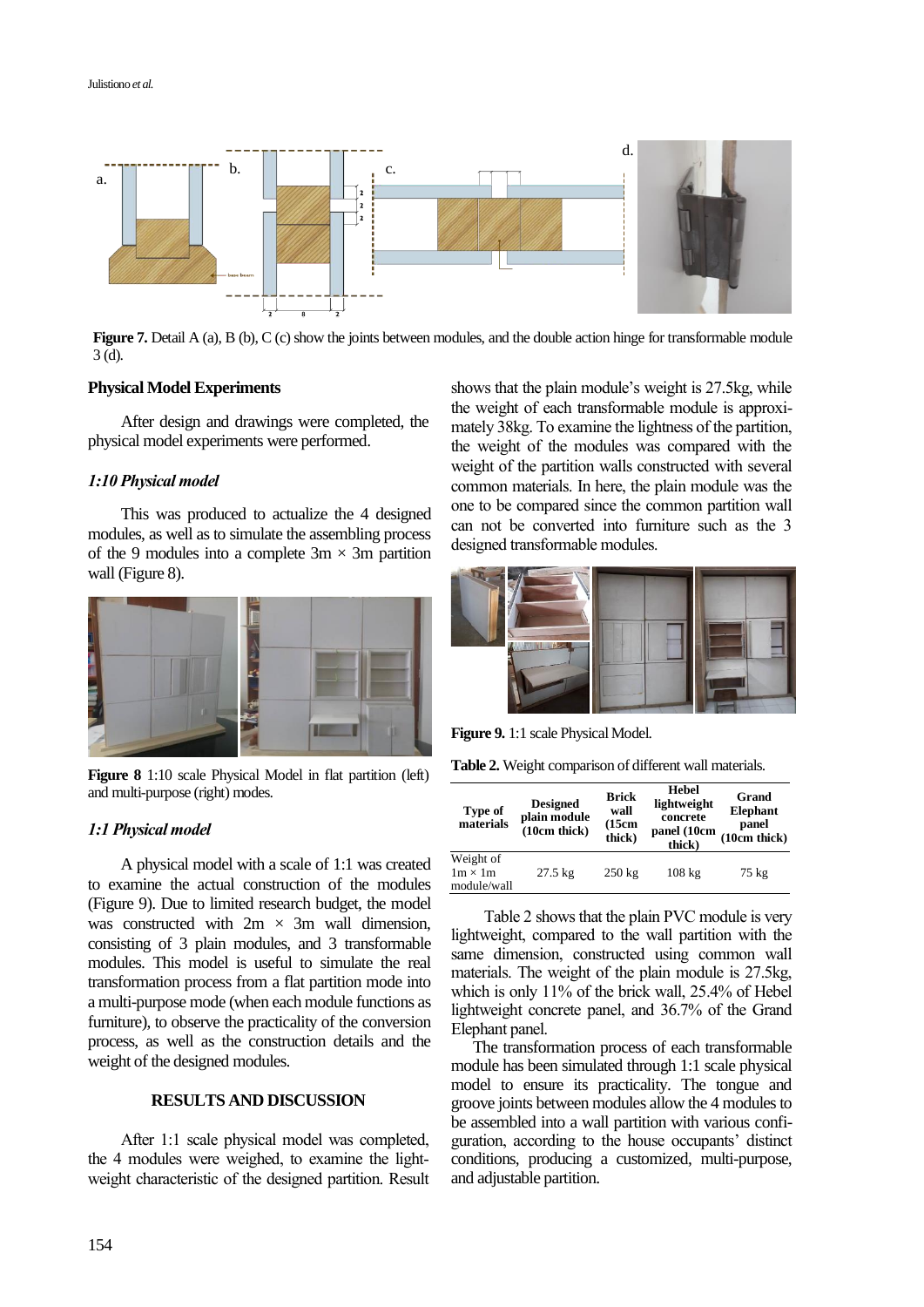

**Figure 7.** Detail A (a), B (b), C (c) show the joints between modules, and the double action hinge for transformable module 3 (d).

#### **Physical Model Experiments**

After design and drawings were completed, the physical model experiments were performed.

## *1:10 Physical model*

This was produced to actualize the 4 designed modules, as well as to simulate the assembling process of the 9 modules into a complete  $3m \times 3m$  partition wall (Figure 8).



**Figure 8** 1:10 scale Physical Model in flat partition (left) and multi-purpose (right) modes.

#### *1:1 Physical model*

A physical model with a scale of 1:1 was created to examine the actual construction of the modules (Figure 9). Due to limited research budget, the model was constructed with  $2m \times 3m$  wall dimension, consisting of 3 plain modules, and 3 transformable modules. This model is useful to simulate the real transformation process from a flat partition mode into a multi-purpose mode (when each module functions as furniture), to observe the practicality of the conversion process, as well as the construction details and the weight of the designed modules.

# **RESULTS AND DISCUSSION**

After 1:1 scale physical model was completed, the 4 modules were weighed, to examine the lightweight characteristic of the designed partition. Result shows that the plain module's weight is 27.5kg, while the weight of each transformable module is approximately 38kg. To examine the lightness of the partition, the weight of the modules was compared with the weight of the partition walls constructed with several common materials. In here, the plain module was the one to be compared since the common partition wall can not be converted into furniture such as the 3 designed transformable modules.



**Figure 9.** 1:1 scale Physical Model.

**Table 2.** Weight comparison of different wall materials.

| Type of<br>materials                       | <b>Designed</b><br>plain module<br>(10cm thick) | <b>Brick</b><br>wall<br>(15cm)<br>thick) | <b>Hebel</b><br>lightweight<br>concrete<br>panel (10cm<br>thick) | Grand<br><b>Elephant</b><br>panel<br>(10cm thick) |
|--------------------------------------------|-------------------------------------------------|------------------------------------------|------------------------------------------------------------------|---------------------------------------------------|
| Weight of<br>$1m \times 1m$<br>module/wall | $27.5 \text{ kg}$                               | $250 \text{ kg}$                         | $108 \text{ kg}$                                                 | 75 kg                                             |

Table 2 shows that the plain PVC module is very lightweight, compared to the wall partition with the same dimension, constructed using common wall materials. The weight of the plain module is 27.5kg, which is only 11% of the brick wall, 25.4% of Hebel lightweight concrete panel, and 36.7% of the Grand Elephant panel.

The transformation process of each transformable module has been simulated through 1:1 scale physical model to ensure its practicality. The tongue and groove joints between modules allow the 4 modules to be assembled into a wall partition with various configuration, according to the house occupants' distinct conditions, producing a customized, multi-purpose, and adjustable partition.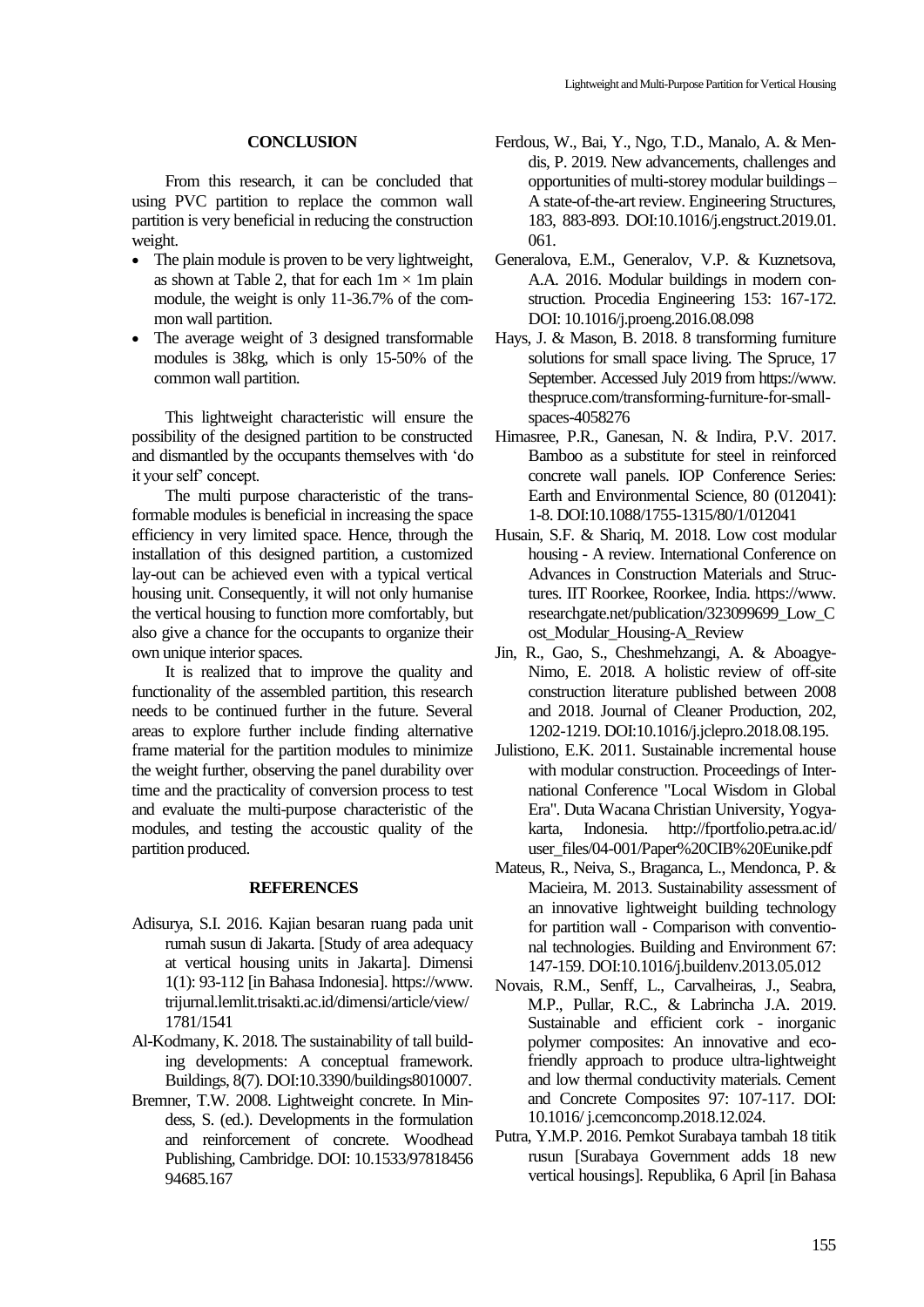## **CONCLUSION**

From this research, it can be concluded that using PVC partition to replace the common wall partition is very beneficial in reducing the construction weight.

- The plain module is proven to be very lightweight, as shown at Table 2, that for each  $1m \times 1m$  plain module, the weight is only 11-36.7% of the common wall partition.
- The average weight of 3 designed transformable modules is 38kg, which is only 15-50% of the common wall partition.

This lightweight characteristic will ensure the possibility of the designed partition to be constructed and dismantled by the occupants themselves with 'do it your self' concept.

The multi purpose characteristic of the transformable modules is beneficial in increasing the space efficiency in very limited space. Hence, through the installation of this designed partition, a customized lay-out can be achieved even with a typical vertical housing unit. Consequently, it will not only humanise the vertical housing to function more comfortably, but also give a chance for the occupants to organize their own unique interior spaces.

It is realized that to improve the quality and functionality of the assembled partition, this research needs to be continued further in the future. Several areas to explore further include finding alternative frame material for the partition modules to minimize the weight further, observing the panel durability over time and the practicality of conversion process to test and evaluate the multi-purpose characteristic of the modules, and testing the accoustic quality of the partition produced.

#### **REFERENCES**

- Adisurya, S.I. 2016. Kajian besaran ruang pada unit rumah susun di Jakarta. [Study of area adequacy at vertical housing units in Jakarta]. Dimensi 1(1): 93-112 [in Bahasa Indonesia]. https://www. trijurnal.lemlit.trisakti.ac.id/dimensi/article/view/ 1781/1541
- Al-Kodmany, K. 2018. The sustainability of tall building developments: A conceptual framework. Buildings, 8(7). DOI:10.3390/buildings8010007.
- Bremner, T.W. 2008. Lightweight concrete. In Mindess, S. (ed.). Developments in the formulation and reinforcement of concrete. Woodhead Publishing, Cambridge. DOI: 10.1533/97818456 94685.167
- Ferdous, W., Bai, Y., Ngo, T.D., Manalo, A. & Mendis, P. 2019. New advancements, challenges and opportunities of multi-storey modular buildings – A state-of-the-art review. Engineering Structures, 183, 883-893. DOI:10.1016/j.engstruct.2019.01. 061.
- Generalova, E.M., Generalov, V.P. & Kuznetsova, A.A. 2016. Modular buildings in modern construction. Procedia Engineering 153: 167-172. DOI: 10.1016/j.proeng.2016.08.098
- Hays, J. & Mason, B. 2018. 8 transforming furniture solutions for small space living. The Spruce, 17 September. Accessed July 2019 from https://www. thespruce.com/transforming-furniture-for-smallspaces-4058276
- Himasree, P.R., Ganesan, N. & Indira, P.V. 2017. Bamboo as a substitute for steel in reinforced concrete wall panels. IOP Conference Series: Earth and Environmental Science*,* 80 (012041): 1-8. DOI:10.1088/1755-1315/80/1/012041
- Husain, S.F. & Shariq, M. 2018. Low cost modular housing - A review. International Conference on Advances in Construction Materials and Structures. IIT Roorkee, Roorkee, India. https://www. researchgate.net/publication/323099699\_Low\_C ost\_Modular\_Housing-A\_Review
- Jin, R., Gao, S., Cheshmehzangi, A. & Aboagye-Nimo, E. 2018. A holistic review of off-site construction literature published between 2008 and 2018. Journal of Cleaner Production, 202, 1202-1219. DOI:10.1016/j.jclepro.2018.08.195.
- Julistiono, E.K. 2011. Sustainable incremental house with modular construction. Proceedings of International Conference "Local Wisdom in Global Era". Duta Wacana Christian University, Yogyakarta, Indonesia. http://fportfolio.petra.ac.id/ user\_files/04-001/Paper%20CIB%20Eunike.pdf
- Mateus, R., Neiva, S., Braganca, L., Mendonca, P. & Macieira, M. 2013. Sustainability assessment of an innovative lightweight building technology for partition wall - Comparison with conventional technologies. Building and Environment 67: 147-159. DOI:10.1016/j.buildenv.2013.05.012
- Novais, R.M., Senff, L., Carvalheiras, J., Seabra, M.P., Pullar, R.C., & Labrincha J.A. 2019. Sustainable and efficient cork - inorganic polymer composites: An innovative and ecofriendly approach to produce ultra-lightweight and low thermal conductivity materials. Cement and Concrete Composites 97: 107-117. DOI: 10.1016/ j.cemconcomp.2018.12.024.
- Putra, Y.M.P. 2016. Pemkot Surabaya tambah 18 titik rusun [Surabaya Government adds 18 new vertical housings]. Republika, 6 April [in Bahasa